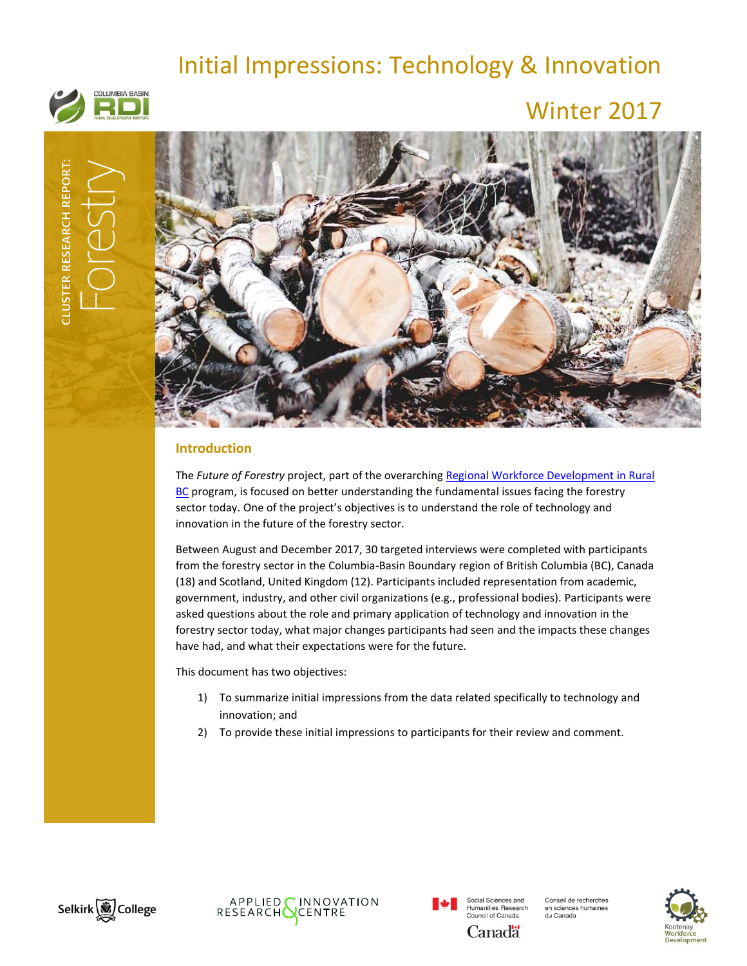# Initial Impressions: Technology & Innovation



## Winter 2017



## **Introduction**

The *Future of Forestry* project, part of the overarchin[g Regional Workforce Development in Rural](http://www.cbrdi.ca/workforce/)  [BC](http://www.cbrdi.ca/workforce/) program, is focused on better understanding the fundamental issues facing the forestry sector today. One of the project's objectives is to understand the role of technology and innovation in the future of the forestry sector.

Between August and December 2017, 30 targeted interviews were completed with participants from the forestry sector in the Columbia-Basin Boundary region of British Columbia (BC), Canada (18) and Scotland, United Kingdom (12). Participants included representation from academic, government, industry, and other civil organizations (e.g., professional bodies). Participants were asked questions about the role and primary application of technology and innovation in the forestry sector today, what major changes participants had seen and the impacts these changes have had, and what their expectations were for the future.

This document has two objectives:

- 1) To summarize initial impressions from the data related specifically to technology and innovation; and
- 2) To provide these initial impressions to participants for their review and comment.







Conseil de recherches en sciences humaines<br>du Canada

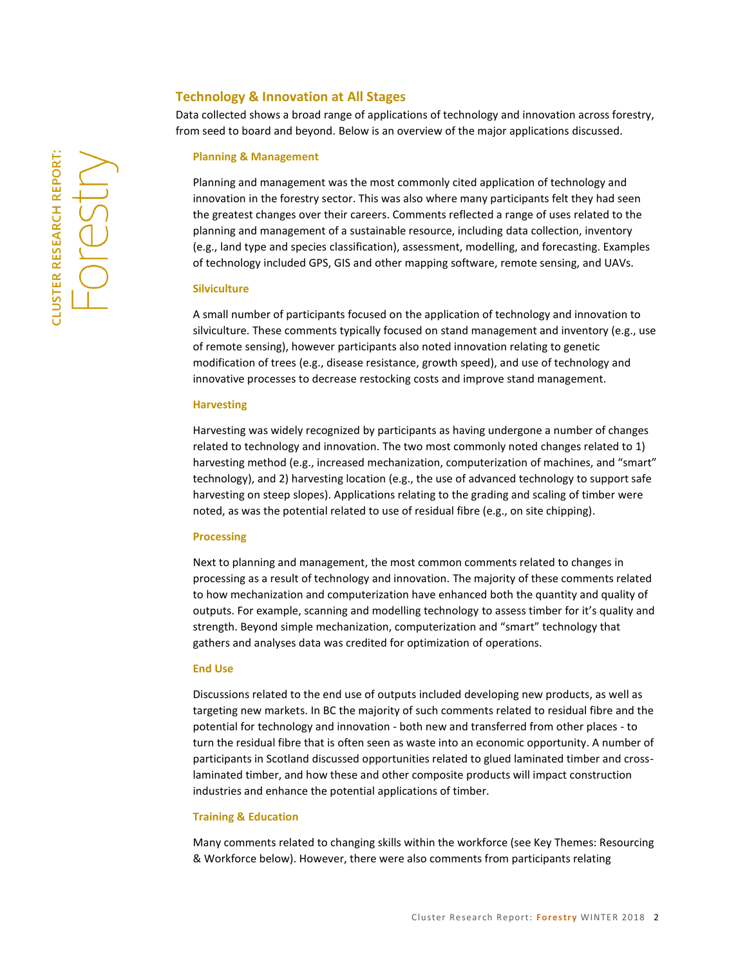## **Technology & Innovation at All Stages**

Data collected shows a broad range of applications of technology and innovation across forestry, from seed to board and beyond. Below is an overview of the major applications discussed.

#### **Planning & Management**

Planning and management was the most commonly cited application of technology and innovation in the forestry sector. This was also where many participants felt they had seen the greatest changes over their careers. Comments reflected a range of uses related to the planning and management of a sustainable resource, including data collection, inventory (e.g., land type and species classification), assessment, modelling, and forecasting. Examples of technology included GPS, GIS and other mapping software, remote sensing, and UAVs.

#### **Silviculture**

A small number of participants focused on the application of technology and innovation to silviculture. These comments typically focused on stand management and inventory (e.g., use of remote sensing), however participants also noted innovation relating to genetic modification of trees (e.g., disease resistance, growth speed), and use of technology and innovative processes to decrease restocking costs and improve stand management.

#### **Harvesting**

Harvesting was widely recognized by participants as having undergone a number of changes related to technology and innovation. The two most commonly noted changes related to 1) harvesting method (e.g., increased mechanization, computerization of machines, and "smart" technology), and 2) harvesting location (e.g., the use of advanced technology to support safe harvesting on steep slopes). Applications relating to the grading and scaling of timber were noted, as was the potential related to use of residual fibre (e.g., on site chipping).

#### **Processing**

Next to planning and management, the most common comments related to changes in processing as a result of technology and innovation. The majority of these comments related to how mechanization and computerization have enhanced both the quantity and quality of outputs. For example, scanning and modelling technology to assess timber for it's quality and strength. Beyond simple mechanization, computerization and "smart" technology that gathers and analyses data was credited for optimization of operations.

#### **End Use**

Discussions related to the end use of outputs included developing new products, as well as targeting new markets. In BC the majority of such comments related to residual fibre and the potential for technology and innovation - both new and transferred from other places - to turn the residual fibre that is often seen as waste into an economic opportunity. A number of participants in Scotland discussed opportunities related to glued laminated timber and crosslaminated timber, and how these and other composite products will impact construction industries and enhance the potential applications of timber.

#### **Training & Education**

Many comments related to changing skills within the workforce (see Key Themes: Resourcing & Workforce below). However, there were also comments from participants relating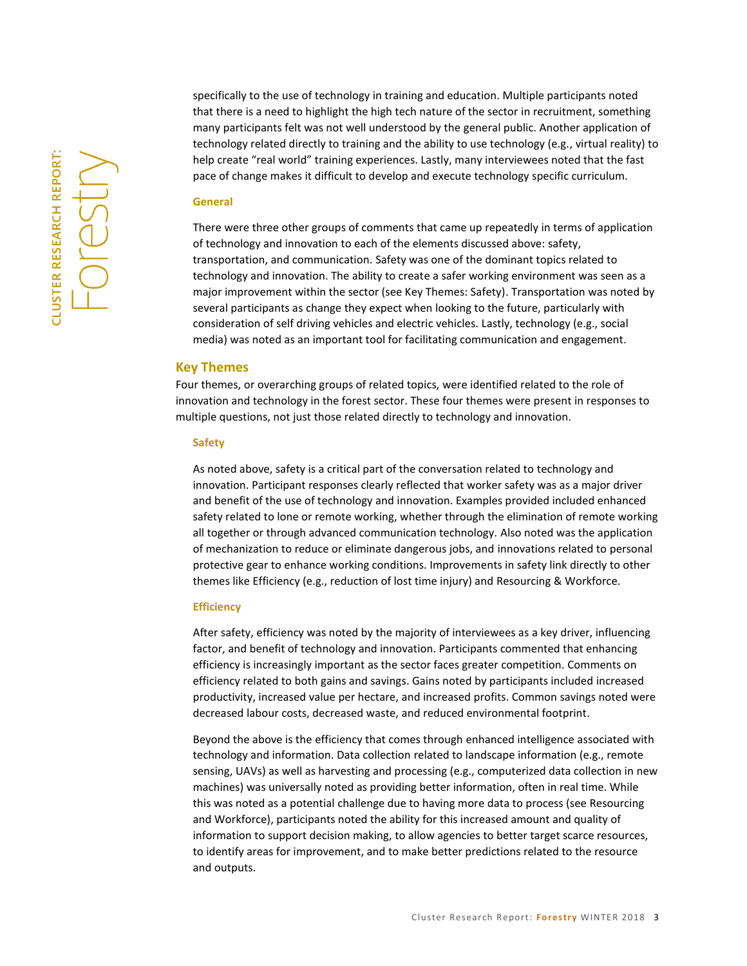**LLUSTER RESEARCH REPORT:** -Ores specifically to the use of technology in training and education. Multiple participants noted that there is a need to highlight the high tech nature of the sector in recruitment, something many participants felt was not well understood by the general public. Another application of technology related directly to training and the ability to use technology (e.g., virtual reality) to help create "real world" training experiences. Lastly, many interviewees noted that the fast pace of change makes it difficult to develop and execute technology specific curriculum.

#### **General**

There were three other groups of comments that came up repeatedly in terms of application of technology and innovation to each of the elements discussed above: safety, transportation, and communication. Safety was one of the dominant topics related to technology and innovation. The ability to create a safer working environment was seen as a major improvement within the sector (see Key Themes: Safety). Transportation was noted by several participants as change they expect when looking to the future, particularly with consideration of self driving vehicles and electric vehicles. Lastly, technology (e.g., social media) was noted as an important tool for facilitating communication and engagement.

## **Key Themes**

Four themes, or overarching groups of related topics, were identified related to the role of innovation and technology in the forest sector. These four themes were present in responses to multiple questions, not just those related directly to technology and innovation.

#### **Safety**

As noted above, safety is a critical part of the conversation related to technology and innovation. Participant responses clearly reflected that worker safety was as a major driver and benefit of the use of technology and innovation. Examples provided included enhanced safety related to lone or remote working, whether through the elimination of remote working all together or through advanced communication technology. Also noted was the application of mechanization to reduce or eliminate dangerous jobs, and innovations related to personal protective gear to enhance working conditions. Improvements in safety link directly to other themes like Efficiency (e.g., reduction of lost time injury) and Resourcing & Workforce.

#### **Efficiency**

After safety, efficiency was noted by the majority of interviewees as a key driver, influencing factor, and benefit of technology and innovation. Participants commented that enhancing efficiency is increasingly important as the sector faces greater competition. Comments on efficiency related to both gains and savings. Gains noted by participants included increased productivity, increased value per hectare, and increased profits. Common savings noted were decreased labour costs, decreased waste, and reduced environmental footprint.

Beyond the above is the efficiency that comes through enhanced intelligence associated with technology and information. Data collection related to landscape information (e.g., remote sensing, UAVs) as well as harvesting and processing (e.g., computerized data collection in new machines) was universally noted as providing better information, often in real time. While this was noted as a potential challenge due to having more data to process (see Resourcing and Workforce), participants noted the ability for this increased amount and quality of information to support decision making, to allow agencies to better target scarce resources, to identify areas for improvement, and to make better predictions related to the resource and outputs.